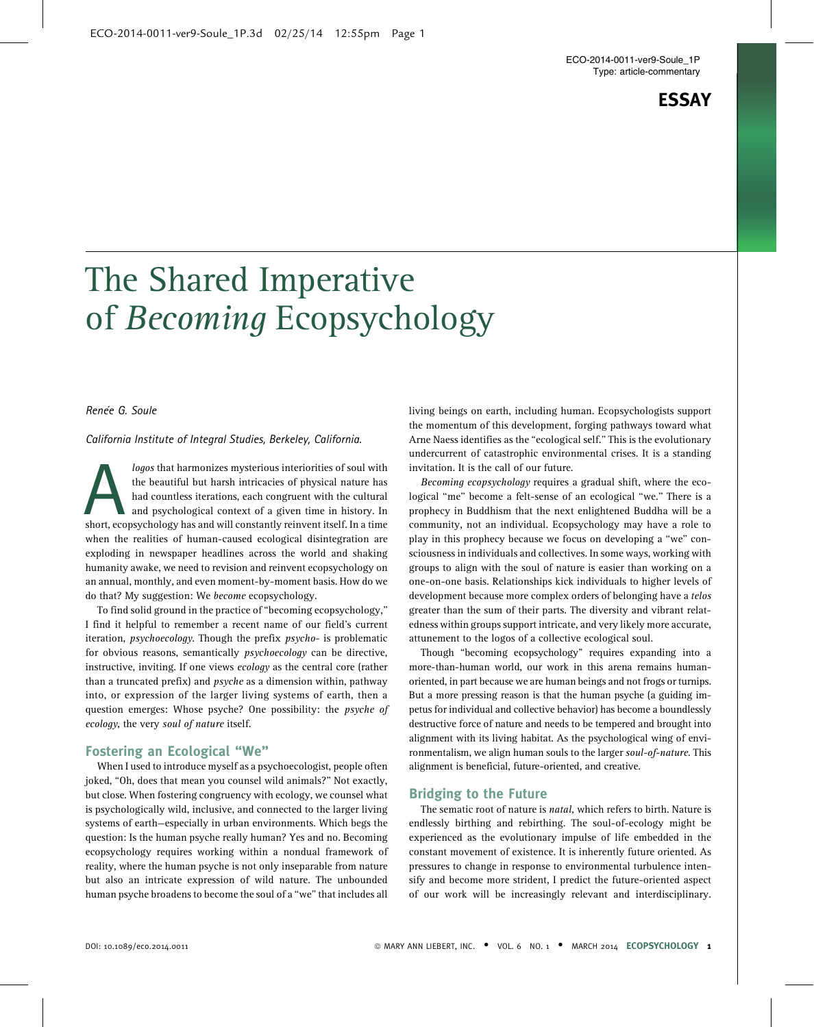ECO-2014-0011-ver9-Soule\_1P Type: article-commentary

# ESSAY

# The Shared Imperative of Becoming Ecopsychology

## Renée G. Soule

#### California Institute of Integral Studies, Berkeley, California.

logos that harmonizes mysterious interiorities of soul with<br>the beautiful but harsh intricacies of physical nature has<br>had countless iterations, each congruent with the cultural<br>and psychological context of a given time in the beautiful but harsh intricacies of physical nature has had countless iterations, each congruent with the cultural and psychological context of a given time in history. In short, ecopsychology has and will constantly reinvent itself. In a time when the realities of human-caused ecological disintegration are exploding in newspaper headlines across the world and shaking humanity awake, we need to revision and reinvent ecopsychology on an annual, monthly, and even moment-by-moment basis. How do we do that? My suggestion: We become ecopsychology.

To find solid ground in the practice of ''becoming ecopsychology,'' I find it helpful to remember a recent name of our field's current iteration, psychoecology. Though the prefix psycho- is problematic for obvious reasons, semantically psychoecology can be directive, instructive, inviting. If one views ecology as the central core (rather than a truncated prefix) and psyche as a dimension within, pathway into, or expression of the larger living systems of earth, then a question emerges: Whose psyche? One possibility: the *psyche of* ecology, the very soul of nature itself.

# Fostering an Ecological ''We''

When I used to introduce myself as a psychoecologist, people often joked, "Oh, does that mean you counsel wild animals?" Not exactly, but close. When fostering congruency with ecology, we counsel what is psychologically wild, inclusive, and connected to the larger living systems of earth—especially in urban environments. Which begs the question: Is the human psyche really human? Yes and no. Becoming ecopsychology requires working within a nondual framework of reality, where the human psyche is not only inseparable from nature but also an intricate expression of wild nature. The unbounded human psyche broadens to become the soul of a "we" that includes all

living beings on earth, including human. Ecopsychologists support the momentum of this development, forging pathways toward what Arne Naess identifies as the ''ecological self.'' This is the evolutionary undercurrent of catastrophic environmental crises. It is a standing invitation. It is the call of our future.

Becoming ecopsychology requires a gradual shift, where the ecological "me" become a felt-sense of an ecological "we." There is a prophecy in Buddhism that the next enlightened Buddha will be a community, not an individual. Ecopsychology may have a role to play in this prophecy because we focus on developing a "we" consciousness in individuals and collectives. In some ways, working with groups to align with the soul of nature is easier than working on a one-on-one basis. Relationships kick individuals to higher levels of development because more complex orders of belonging have a *telos* greater than the sum of their parts. The diversity and vibrant relatedness within groups support intricate, and very likely more accurate, attunement to the logos of a collective ecological soul.

Though ''becoming ecopsychology'' requires expanding into a more-than-human world, our work in this arena remains humanoriented, in part because we are human beings and not frogs or turnips. But a more pressing reason is that the human psyche (a guiding impetus for individual and collective behavior) has become a boundlessly destructive force of nature and needs to be tempered and brought into alignment with its living habitat. As the psychological wing of environmentalism, we align human souls to the larger soul-of-nature. This alignment is beneficial, future-oriented, and creative.

#### Bridging to the Future

The sematic root of nature is *natal*, which refers to birth. Nature is endlessly birthing and rebirthing. The soul-of-ecology might be experienced as the evolutionary impulse of life embedded in the constant movement of existence. It is inherently future oriented. As pressures to change in response to environmental turbulence intensify and become more strident, I predict the future-oriented aspect of our work will be increasingly relevant and interdisciplinary.